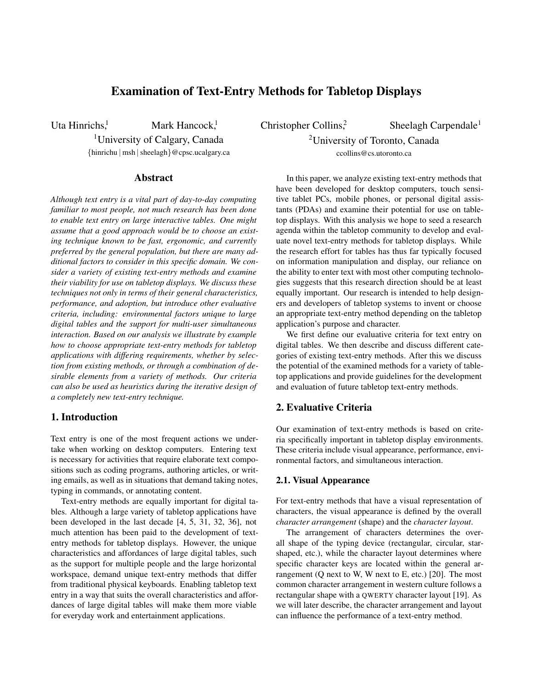# Examination of Text-Entry Methods for Tabletop Displays

<sup>1</sup>University of Calgary, Canada {hinrichu | msh |sheelagh}@cpsc.ucalgary.ca

# Abstract

*Although text entry is a vital part of day-to-day computing familiar to most people, not much research has been done to enable text entry on large interactive tables. One might assume that a good approach would be to choose an existing technique known to be fast, ergonomic, and currently preferred by the general population, but there are many additional factors to consider in this specific domain. We consider a variety of existing text-entry methods and examine their viability for use on tabletop displays. We discuss these techniques not only in terms of their general characteristics, performance, and adoption, but introduce other evaluative criteria, including: environmental factors unique to large digital tables and the support for multi-user simultaneous interaction. Based on our analysis we illustrate by example how to choose appropriate text-entry methods for tabletop applications with differing requirements, whether by selection from existing methods, or through a combination of desirable elements from a variety of methods. Our criteria can also be used as heuristics during the iterative design of a completely new text-entry technique.*

# 1. Introduction

Text entry is one of the most frequent actions we undertake when working on desktop computers. Entering text is necessary for activities that require elaborate text compositions such as coding programs, authoring articles, or writing emails, as well as in situations that demand taking notes, typing in commands, or annotating content.

Text-entry methods are equally important for digital tables. Although a large variety of tabletop applications have been developed in the last decade [4, 5, 31, 32, 36], not much attention has been paid to the development of textentry methods for tabletop displays. However, the unique characteristics and affordances of large digital tables, such as the support for multiple people and the large horizontal workspace, demand unique text-entry methods that differ from traditional physical keyboards. Enabling tabletop text entry in a way that suits the overall characteristics and affordances of large digital tables will make them more viable for everyday work and entertainment applications.

Uta Hinrichs,<sup>1</sup> Mark Hancock,<sup>1</sup> Christopher Collins,<sup>2</sup> Sheelagh Carpendale<sup>1</sup> <sup>2</sup>University of Toronto, Canada

ccollins@cs.utoronto.ca

In this paper, we analyze existing text-entry methods that have been developed for desktop computers, touch sensitive tablet PCs, mobile phones, or personal digital assistants (PDAs) and examine their potential for use on tabletop displays. With this analysis we hope to seed a research agenda within the tabletop community to develop and evaluate novel text-entry methods for tabletop displays. While the research effort for tables has thus far typically focused on information manipulation and display, our reliance on the ability to enter text with most other computing technologies suggests that this research direction should be at least equally important. Our research is intended to help designers and developers of tabletop systems to invent or choose an appropriate text-entry method depending on the tabletop application's purpose and character.

We first define our evaluative criteria for text entry on digital tables. We then describe and discuss different categories of existing text-entry methods. After this we discuss the potential of the examined methods for a variety of tabletop applications and provide guidelines for the development and evaluation of future tabletop text-entry methods.

# 2. Evaluative Criteria

Our examination of text-entry methods is based on criteria specifically important in tabletop display environments. These criteria include visual appearance, performance, environmental factors, and simultaneous interaction.

#### 2.1. Visual Appearance

For text-entry methods that have a visual representation of characters, the visual appearance is defined by the overall *character arrangement* (shape) and the *character layout*.

The arrangement of characters determines the overall shape of the typing device (rectangular, circular, starshaped, etc.), while the character layout determines where specific character keys are located within the general arrangement (Q next to W, W next to E, etc.) [20]. The most common character arrangement in western culture follows a rectangular shape with a QWERTY character layout [19]. As we will later describe, the character arrangement and layout can influence the performance of a text-entry method.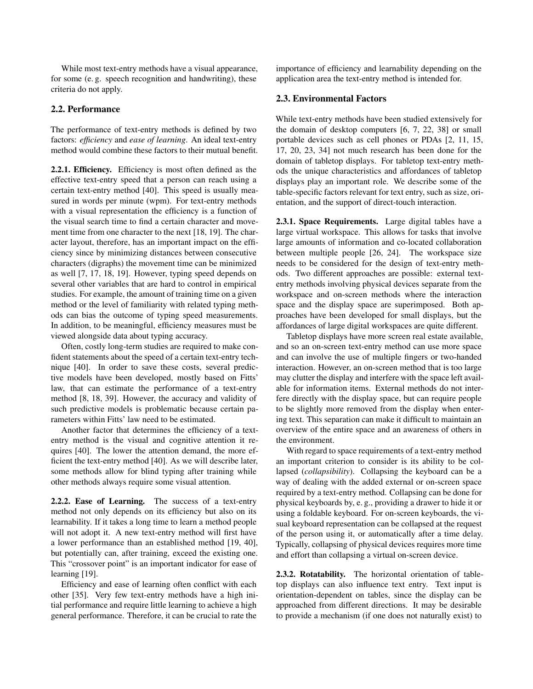While most text-entry methods have a visual appearance, for some (e. g. speech recognition and handwriting), these criteria do not apply.

### 2.2. Performance

The performance of text-entry methods is defined by two factors: *efficiency* and *ease of learning*. An ideal text-entry method would combine these factors to their mutual benefit.

2.2.1. Efficiency. Efficiency is most often defined as the effective text-entry speed that a person can reach using a certain text-entry method [40]. This speed is usually measured in words per minute (wpm). For text-entry methods with a visual representation the efficiency is a function of the visual search time to find a certain character and movement time from one character to the next [18, 19]. The character layout, therefore, has an important impact on the efficiency since by minimizing distances between consecutive characters (digraphs) the movement time can be minimized as well [7, 17, 18, 19]. However, typing speed depends on several other variables that are hard to control in empirical studies. For example, the amount of training time on a given method or the level of familiarity with related typing methods can bias the outcome of typing speed measurements. In addition, to be meaningful, efficiency measures must be viewed alongside data about typing accuracy.

Often, costly long-term studies are required to make confident statements about the speed of a certain text-entry technique [40]. In order to save these costs, several predictive models have been developed, mostly based on Fitts' law, that can estimate the performance of a text-entry method [8, 18, 39]. However, the accuracy and validity of such predictive models is problematic because certain parameters within Fitts' law need to be estimated.

Another factor that determines the efficiency of a textentry method is the visual and cognitive attention it requires [40]. The lower the attention demand, the more efficient the text-entry method [40]. As we will describe later, some methods allow for blind typing after training while other methods always require some visual attention.

2.2.2. Ease of Learning. The success of a text-entry method not only depends on its efficiency but also on its learnability. If it takes a long time to learn a method people will not adopt it. A new text-entry method will first have a lower performance than an established method [19, 40], but potentially can, after training, exceed the existing one. This "crossover point" is an important indicator for ease of learning [19].

Efficiency and ease of learning often conflict with each other [35]. Very few text-entry methods have a high initial performance and require little learning to achieve a high general performance. Therefore, it can be crucial to rate the

importance of efficiency and learnability depending on the application area the text-entry method is intended for.

#### 2.3. Environmental Factors

While text-entry methods have been studied extensively for the domain of desktop computers [6, 7, 22, 38] or small portable devices such as cell phones or PDAs [2, 11, 15, 17, 20, 23, 34] not much research has been done for the domain of tabletop displays. For tabletop text-entry methods the unique characteristics and affordances of tabletop displays play an important role. We describe some of the table-specific factors relevant for text entry, such as size, orientation, and the support of direct-touch interaction.

2.3.1. Space Requirements. Large digital tables have a large virtual workspace. This allows for tasks that involve large amounts of information and co-located collaboration between multiple people [26, 24]. The workspace size needs to be considered for the design of text-entry methods. Two different approaches are possible: external textentry methods involving physical devices separate from the workspace and on-screen methods where the interaction space and the display space are superimposed. Both approaches have been developed for small displays, but the affordances of large digital workspaces are quite different.

Tabletop displays have more screen real estate available, and so an on-screen text-entry method can use more space and can involve the use of multiple fingers or two-handed interaction. However, an on-screen method that is too large may clutter the display and interfere with the space left available for information items. External methods do not interfere directly with the display space, but can require people to be slightly more removed from the display when entering text. This separation can make it difficult to maintain an overview of the entire space and an awareness of others in the environment.

With regard to space requirements of a text-entry method an important criterion to consider is its ability to be collapsed (*collapsibility*). Collapsing the keyboard can be a way of dealing with the added external or on-screen space required by a text-entry method. Collapsing can be done for physical keyboards by, e. g., providing a drawer to hide it or using a foldable keyboard. For on-screen keyboards, the visual keyboard representation can be collapsed at the request of the person using it, or automatically after a time delay. Typically, collapsing of physical devices requires more time and effort than collapsing a virtual on-screen device.

2.3.2. Rotatability. The horizontal orientation of tabletop displays can also influence text entry. Text input is orientation-dependent on tables, since the display can be approached from different directions. It may be desirable to provide a mechanism (if one does not naturally exist) to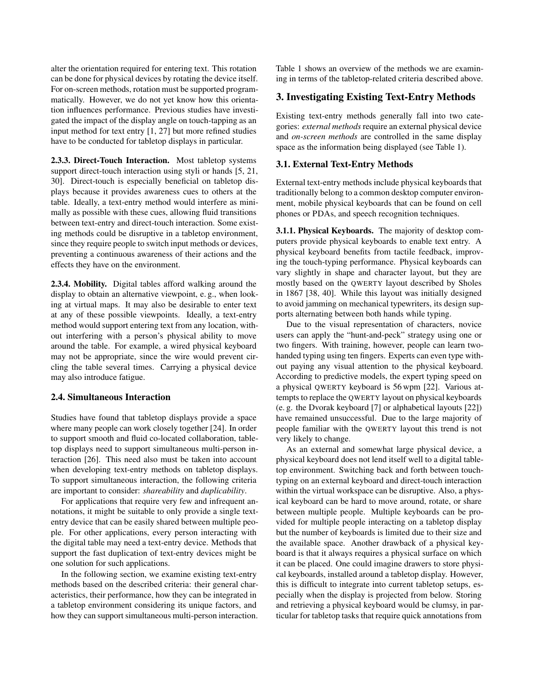alter the orientation required for entering text. This rotation can be done for physical devices by rotating the device itself. For on-screen methods, rotation must be supported programmatically. However, we do not yet know how this orientation influences performance. Previous studies have investigated the impact of the display angle on touch-tapping as an input method for text entry [1, 27] but more refined studies have to be conducted for tabletop displays in particular.

2.3.3. Direct-Touch Interaction. Most tabletop systems support direct-touch interaction using styli or hands [5, 21, 30]. Direct-touch is especially beneficial on tabletop displays because it provides awareness cues to others at the table. Ideally, a text-entry method would interfere as minimally as possible with these cues, allowing fluid transitions between text-entry and direct-touch interaction. Some existing methods could be disruptive in a tabletop environment, since they require people to switch input methods or devices, preventing a continuous awareness of their actions and the effects they have on the environment.

2.3.4. Mobility. Digital tables afford walking around the display to obtain an alternative viewpoint, e. g., when looking at virtual maps. It may also be desirable to enter text at any of these possible viewpoints. Ideally, a text-entry method would support entering text from any location, without interfering with a person's physical ability to move around the table. For example, a wired physical keyboard may not be appropriate, since the wire would prevent circling the table several times. Carrying a physical device may also introduce fatigue.

### 2.4. Simultaneous Interaction

Studies have found that tabletop displays provide a space where many people can work closely together [24]. In order to support smooth and fluid co-located collaboration, tabletop displays need to support simultaneous multi-person interaction [26]. This need also must be taken into account when developing text-entry methods on tabletop displays. To support simultaneous interaction, the following criteria are important to consider: *shareability* and *duplicability*.

For applications that require very few and infrequent annotations, it might be suitable to only provide a single textentry device that can be easily shared between multiple people. For other applications, every person interacting with the digital table may need a text-entry device. Methods that support the fast duplication of text-entry devices might be one solution for such applications.

In the following section, we examine existing text-entry methods based on the described criteria: their general characteristics, their performance, how they can be integrated in a tabletop environment considering its unique factors, and how they can support simultaneous multi-person interaction. Table 1 shows an overview of the methods we are examining in terms of the tabletop-related criteria described above.

## 3. Investigating Existing Text-Entry Methods

Existing text-entry methods generally fall into two categories: *external methods* require an external physical device and *on-screen methods* are controlled in the same display space as the information being displayed (see Table 1).

#### 3.1. External Text-Entry Methods

External text-entry methods include physical keyboards that traditionally belong to a common desktop computer environment, mobile physical keyboards that can be found on cell phones or PDAs, and speech recognition techniques.

3.1.1. Physical Keyboards. The majority of desktop computers provide physical keyboards to enable text entry. A physical keyboard benefits from tactile feedback, improving the touch-typing performance. Physical keyboards can vary slightly in shape and character layout, but they are mostly based on the QWERTY layout described by Sholes in 1867 [38, 40]. While this layout was initially designed to avoid jamming on mechanical typewriters, its design supports alternating between both hands while typing.

Due to the visual representation of characters, novice users can apply the "hunt-and-peck" strategy using one or two fingers. With training, however, people can learn twohanded typing using ten fingers. Experts can even type without paying any visual attention to the physical keyboard. According to predictive models, the expert typing speed on a physical QWERTY keyboard is 56 wpm [22]. Various attempts to replace the QWERTY layout on physical keyboards (e. g. the Dvorak keyboard [7] or alphabetical layouts [22]) have remained unsuccessful. Due to the large majority of people familiar with the QWERTY layout this trend is not very likely to change.

As an external and somewhat large physical device, a physical keyboard does not lend itself well to a digital tabletop environment. Switching back and forth between touchtyping on an external keyboard and direct-touch interaction within the virtual workspace can be disruptive. Also, a physical keyboard can be hard to move around, rotate, or share between multiple people. Multiple keyboards can be provided for multiple people interacting on a tabletop display but the number of keyboards is limited due to their size and the available space. Another drawback of a physical keyboard is that it always requires a physical surface on which it can be placed. One could imagine drawers to store physical keyboards, installed around a tabletop display. However, this is difficult to integrate into current tabletop setups, especially when the display is projected from below. Storing and retrieving a physical keyboard would be clumsy, in particular for tabletop tasks that require quick annotations from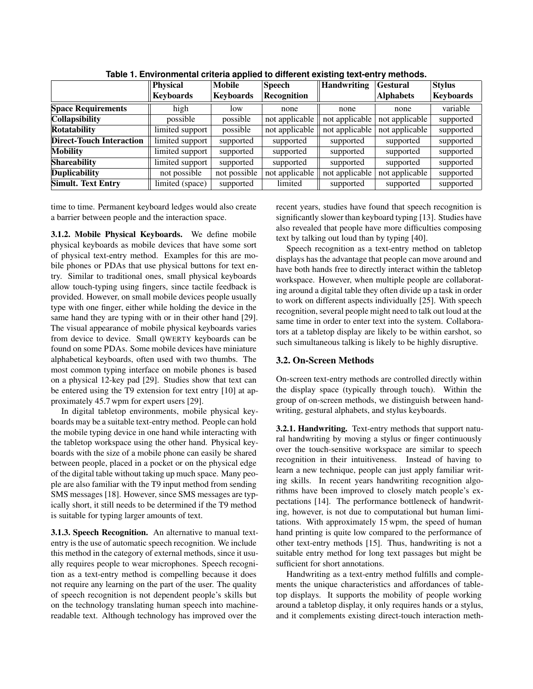|                                 | Physical         | <b>Mobile</b>    | <b>Speech</b>  | <b>Handwriting</b> | <b>Gestural</b>  | <b>Stylus</b>    |
|---------------------------------|------------------|------------------|----------------|--------------------|------------------|------------------|
|                                 | <b>Keyboards</b> | <b>Keyboards</b> | Recognition    |                    | <b>Alphabets</b> | <b>Keyboards</b> |
| <b>Space Requirements</b>       | high             | low              | none           | none               | none             | variable         |
| <b>Collapsibility</b>           | possible         | possible         | not applicable | not applicable     | not applicable   | supported        |
| <b>Rotatability</b>             | limited support  | possible         | not applicable | not applicable     | not applicable   | supported        |
| <b>Direct-Touch Interaction</b> | limited support  | supported        | supported      | supported          | supported        | supported        |
| <b>Mobility</b>                 | limited support  | supported        | supported      | supported          | supported        | supported        |
| <b>Shareability</b>             | limited support  | supported        | supported      | supported          | supported        | supported        |
| <b>Duplicability</b>            | not possible     | not possible     | not applicable | not applicable     | not applicable   | supported        |
| <b>Simult. Text Entry</b>       | limited (space)  | supported        | limited        | supported          | supported        | supported        |

**Table 1. Environmental criteria applied to different existing text-entry methods.**

time to time. Permanent keyboard ledges would also create a barrier between people and the interaction space.

3.1.2. Mobile Physical Keyboards. We define mobile physical keyboards as mobile devices that have some sort of physical text-entry method. Examples for this are mobile phones or PDAs that use physical buttons for text entry. Similar to traditional ones, small physical keyboards allow touch-typing using fingers, since tactile feedback is provided. However, on small mobile devices people usually type with one finger, either while holding the device in the same hand they are typing with or in their other hand [29]. The visual appearance of mobile physical keyboards varies from device to device. Small QWERTY keyboards can be found on some PDAs. Some mobile devices have miniature alphabetical keyboards, often used with two thumbs. The most common typing interface on mobile phones is based on a physical 12-key pad [29]. Studies show that text can be entered using the T9 extension for text entry [10] at approximately 45.7 wpm for expert users [29].

In digital tabletop environments, mobile physical keyboards may be a suitable text-entry method. People can hold the mobile typing device in one hand while interacting with the tabletop workspace using the other hand. Physical keyboards with the size of a mobile phone can easily be shared between people, placed in a pocket or on the physical edge of the digital table without taking up much space. Many people are also familiar with the T9 input method from sending SMS messages [18]. However, since SMS messages are typically short, it still needs to be determined if the T9 method is suitable for typing larger amounts of text.

3.1.3. Speech Recognition. An alternative to manual textentry is the use of automatic speech recognition. We include this method in the category of external methods, since it usually requires people to wear microphones. Speech recognition as a text-entry method is compelling because it does not require any learning on the part of the user. The quality of speech recognition is not dependent people's skills but on the technology translating human speech into machinereadable text. Although technology has improved over the

recent years, studies have found that speech recognition is significantly slower than keyboard typing [13]. Studies have also revealed that people have more difficulties composing text by talking out loud than by typing [40].

Speech recognition as a text-entry method on tabletop displays has the advantage that people can move around and have both hands free to directly interact within the tabletop workspace. However, when multiple people are collaborating around a digital table they often divide up a task in order to work on different aspects individually [25]. With speech recognition, several people might need to talk out loud at the same time in order to enter text into the system. Collaborators at a tabletop display are likely to be within earshot, so such simultaneous talking is likely to be highly disruptive.

#### 3.2. On-Screen Methods

On-screen text-entry methods are controlled directly within the display space (typically through touch). Within the group of on-screen methods, we distinguish between handwriting, gestural alphabets, and stylus keyboards.

3.2.1. Handwriting. Text-entry methods that support natural handwriting by moving a stylus or finger continuously over the touch-sensitive workspace are similar to speech recognition in their intuitiveness. Instead of having to learn a new technique, people can just apply familiar writing skills. In recent years handwriting recognition algorithms have been improved to closely match people's expectations [14]. The performance bottleneck of handwriting, however, is not due to computational but human limitations. With approximately 15 wpm, the speed of human hand printing is quite low compared to the performance of other text-entry methods [15]. Thus, handwriting is not a suitable entry method for long text passages but might be sufficient for short annotations.

Handwriting as a text-entry method fulfills and complements the unique characteristics and affordances of tabletop displays. It supports the mobility of people working around a tabletop display, it only requires hands or a stylus, and it complements existing direct-touch interaction meth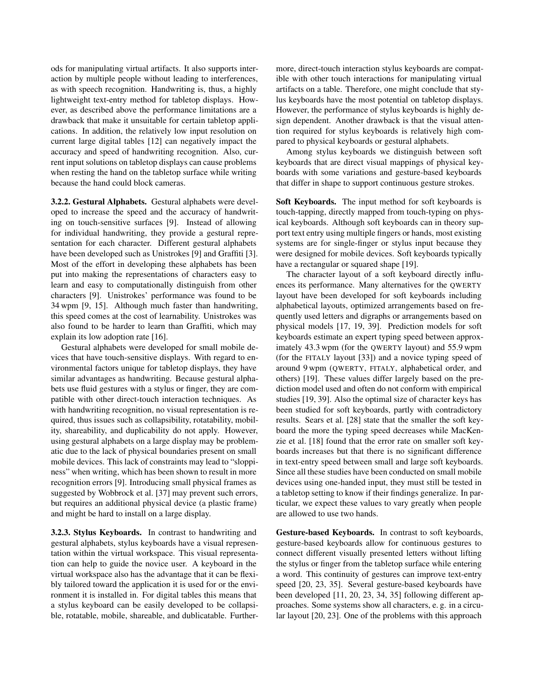ods for manipulating virtual artifacts. It also supports interaction by multiple people without leading to interferences, as with speech recognition. Handwriting is, thus, a highly lightweight text-entry method for tabletop displays. However, as described above the performance limitations are a drawback that make it unsuitable for certain tabletop applications. In addition, the relatively low input resolution on current large digital tables [12] can negatively impact the accuracy and speed of handwriting recognition. Also, current input solutions on tabletop displays can cause problems when resting the hand on the tabletop surface while writing because the hand could block cameras.

3.2.2. Gestural Alphabets. Gestural alphabets were developed to increase the speed and the accuracy of handwriting on touch-sensitive surfaces [9]. Instead of allowing for individual handwriting, they provide a gestural representation for each character. Different gestural alphabets have been developed such as Unistrokes [9] and Graffiti [3]. Most of the effort in developing these alphabets has been put into making the representations of characters easy to learn and easy to computationally distinguish from other characters [9]. Unistrokes' performance was found to be 34 wpm [9, 15]. Although much faster than handwriting, this speed comes at the cost of learnability. Unistrokes was also found to be harder to learn than Graffiti, which may explain its low adoption rate [16].

Gestural alphabets were developed for small mobile devices that have touch-sensitive displays. With regard to environmental factors unique for tabletop displays, they have similar advantages as handwriting. Because gestural alphabets use fluid gestures with a stylus or finger, they are compatible with other direct-touch interaction techniques. As with handwriting recognition, no visual representation is required, thus issues such as collapsibility, rotatability, mobility, shareability, and duplicability do not apply. However, using gestural alphabets on a large display may be problematic due to the lack of physical boundaries present on small mobile devices. This lack of constraints may lead to "sloppiness" when writing, which has been shown to result in more recognition errors [9]. Introducing small physical frames as suggested by Wobbrock et al. [37] may prevent such errors, but requires an additional physical device (a plastic frame) and might be hard to install on a large display.

3.2.3. Stylus Keyboards. In contrast to handwriting and gestural alphabets, stylus keyboards have a visual representation within the virtual workspace. This visual representation can help to guide the novice user. A keyboard in the virtual workspace also has the advantage that it can be flexibly tailored toward the application it is used for or the environment it is installed in. For digital tables this means that a stylus keyboard can be easily developed to be collapsible, rotatable, mobile, shareable, and dublicatable. Furthermore, direct-touch interaction stylus keyboards are compatible with other touch interactions for manipulating virtual artifacts on a table. Therefore, one might conclude that stylus keyboards have the most potential on tabletop displays. However, the performance of stylus keyboards is highly design dependent. Another drawback is that the visual attention required for stylus keyboards is relatively high compared to physical keyboards or gestural alphabets.

Among stylus keyboards we distinguish between soft keyboards that are direct visual mappings of physical keyboards with some variations and gesture-based keyboards that differ in shape to support continuous gesture strokes.

Soft Keyboards. The input method for soft keyboards is touch-tapping, directly mapped from touch-typing on physical keyboards. Although soft keyboards can in theory support text entry using multiple fingers or hands, most existing systems are for single-finger or stylus input because they were designed for mobile devices. Soft keyboards typically have a rectangular or squared shape [19].

The character layout of a soft keyboard directly influences its performance. Many alternatives for the QWERTY layout have been developed for soft keyboards including alphabetical layouts, optimized arrangements based on frequently used letters and digraphs or arrangements based on physical models [17, 19, 39]. Prediction models for soft keyboards estimate an expert typing speed between approximately 43.3 wpm (for the QWERTY layout) and 55.9 wpm (for the FITALY layout [33]) and a novice typing speed of around 9 wpm (QWERTY, FITALY, alphabetical order, and others) [19]. These values differ largely based on the prediction model used and often do not conform with empirical studies [19, 39]. Also the optimal size of character keys has been studied for soft keyboards, partly with contradictory results. Sears et al. [28] state that the smaller the soft keyboard the more the typing speed decreases while MacKenzie et al. [18] found that the error rate on smaller soft keyboards increases but that there is no significant difference in text-entry speed between small and large soft keyboards. Since all these studies have been conducted on small mobile devices using one-handed input, they must still be tested in a tabletop setting to know if their findings generalize. In particular, we expect these values to vary greatly when people are allowed to use two hands.

Gesture-based Keyboards. In contrast to soft keyboards, gesture-based keyboards allow for continuous gestures to connect different visually presented letters without lifting the stylus or finger from the tabletop surface while entering a word. This continuity of gestures can improve text-entry speed [20, 23, 35]. Several gesture-based keyboards have been developed [11, 20, 23, 34, 35] following different approaches. Some systems show all characters, e. g. in a circular layout [20, 23]. One of the problems with this approach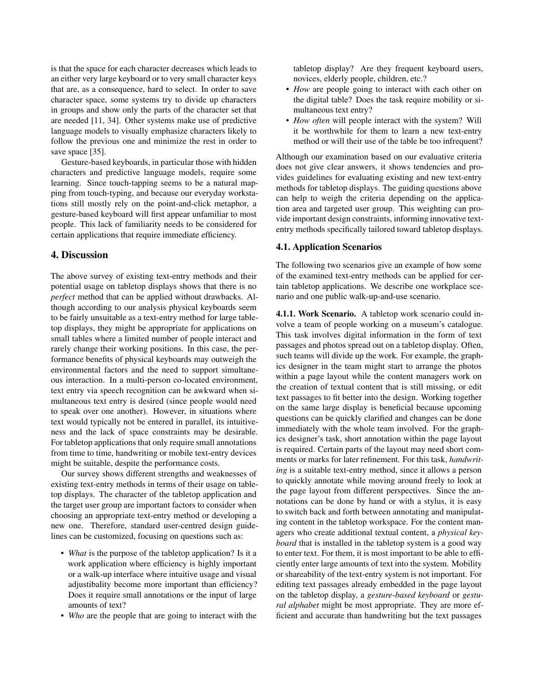is that the space for each character decreases which leads to an either very large keyboard or to very small character keys that are, as a consequence, hard to select. In order to save character space, some systems try to divide up characters in groups and show only the parts of the character set that are needed [11, 34]. Other systems make use of predictive language models to visually emphasize characters likely to follow the previous one and minimize the rest in order to save space [35].

Gesture-based keyboards, in particular those with hidden characters and predictive language models, require some learning. Since touch-tapping seems to be a natural mapping from touch-typing, and because our everyday workstations still mostly rely on the point-and-click metaphor, a gesture-based keyboard will first appear unfamiliar to most people. This lack of familiarity needs to be considered for certain applications that require immediate efficiency.

#### 4. Discussion

The above survey of existing text-entry methods and their potential usage on tabletop displays shows that there is no *perfect* method that can be applied without drawbacks. Although according to our analysis physical keyboards seem to be fairly unsuitable as a text-entry method for large tabletop displays, they might be appropriate for applications on small tables where a limited number of people interact and rarely change their working positions. In this case, the performance benefits of physical keyboards may outweigh the environmental factors and the need to support simultaneous interaction. In a multi-person co-located environment, text entry via speech recognition can be awkward when simultaneous text entry is desired (since people would need to speak over one another). However, in situations where text would typically not be entered in parallel, its intuitiveness and the lack of space constraints may be desirable. For tabletop applications that only require small annotations from time to time, handwriting or mobile text-entry devices might be suitable, despite the performance costs.

Our survey shows different strengths and weaknesses of existing text-entry methods in terms of their usage on tabletop displays. The character of the tabletop application and the target user group are important factors to consider when choosing an appropriate text-entry method or developing a new one. Therefore, standard user-centred design guidelines can be customized, focusing on questions such as:

- *What* is the purpose of the tabletop application? Is it a work application where efficiency is highly important or a walk-up interface where intuitive usage and visual adjustibality become more important than efficiency? Does it require small annotations or the input of large amounts of text?
- *Who* are the people that are going to interact with the

tabletop display? Are they frequent keyboard users, novices, elderly people, children, etc.?

- *How* are people going to interact with each other on the digital table? Does the task require mobility or simultaneous text entry?
- *How often* will people interact with the system? Will it be worthwhile for them to learn a new text-entry method or will their use of the table be too infrequent?

Although our examination based on our evaluative criteria does not give clear answers, it shows tendencies and provides guidelines for evaluating existing and new text-entry methods for tabletop displays. The guiding questions above can help to weigh the criteria depending on the application area and targeted user group. This weighting can provide important design constraints, informing innovative textentry methods specifically tailored toward tabletop displays.

#### 4.1. Application Scenarios

The following two scenarios give an example of how some of the examined text-entry methods can be applied for certain tabletop applications. We describe one workplace scenario and one public walk-up-and-use scenario.

4.1.1. Work Scenario. A tabletop work scenario could involve a team of people working on a museum's catalogue. This task involves digital information in the form of text passages and photos spread out on a tabletop display. Often, such teams will divide up the work. For example, the graphics designer in the team might start to arrange the photos within a page layout while the content managers work on the creation of textual content that is still missing, or edit text passages to fit better into the design. Working together on the same large display is beneficial because upcoming questions can be quickly clarified and changes can be done immediately with the whole team involved. For the graphics designer's task, short annotation within the page layout is required. Certain parts of the layout may need short comments or marks for later refinement. For this task, *handwriting* is a suitable text-entry method, since it allows a person to quickly annotate while moving around freely to look at the page layout from different perspectives. Since the annotations can be done by hand or with a stylus, it is easy to switch back and forth between annotating and manipulating content in the tabletop workspace. For the content managers who create additional textual content, a *physical keyboard* that is installed in the tabletop system is a good way to enter text. For them, it is most important to be able to efficiently enter large amounts of text into the system. Mobility or shareability of the text-entry system is not important. For editing text passages already embedded in the page layout on the tabletop display, a *gesture-based keyboard* or *gestural alphabet* might be most appropriate. They are more efficient and accurate than handwriting but the text passages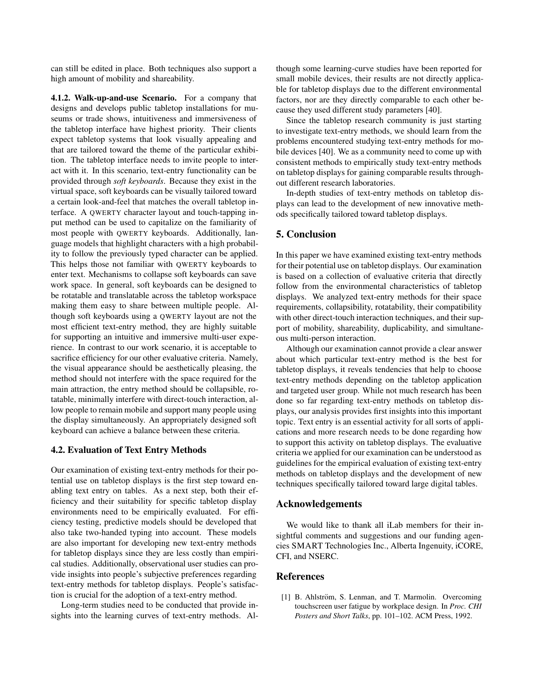can still be edited in place. Both techniques also support a high amount of mobility and shareability.

4.1.2. Walk-up-and-use Scenario. For a company that designs and develops public tabletop installations for museums or trade shows, intuitiveness and immersiveness of the tabletop interface have highest priority. Their clients expect tabletop systems that look visually appealing and that are tailored toward the theme of the particular exhibition. The tabletop interface needs to invite people to interact with it. In this scenario, text-entry functionality can be provided through *soft keyboards*. Because they exist in the virtual space, soft keyboards can be visually tailored toward a certain look-and-feel that matches the overall tabletop interface. A QWERTY character layout and touch-tapping input method can be used to capitalize on the familiarity of most people with QWERTY keyboards. Additionally, language models that highlight characters with a high probability to follow the previously typed character can be applied. This helps those not familiar with QWERTY keyboards to enter text. Mechanisms to collapse soft keyboards can save work space. In general, soft keyboards can be designed to be rotatable and translatable across the tabletop workspace making them easy to share between multiple people. Although soft keyboards using a QWERTY layout are not the most efficient text-entry method, they are highly suitable for supporting an intuitive and immersive multi-user experience. In contrast to our work scenario, it is acceptable to sacrifice efficiency for our other evaluative criteria. Namely, the visual appearance should be aesthetically pleasing, the method should not interfere with the space required for the main attraction, the entry method should be collapsible, rotatable, minimally interfere with direct-touch interaction, allow people to remain mobile and support many people using the display simultaneously. An appropriately designed soft keyboard can achieve a balance between these criteria.

# 4.2. Evaluation of Text Entry Methods

Our examination of existing text-entry methods for their potential use on tabletop displays is the first step toward enabling text entry on tables. As a next step, both their efficiency and their suitability for specific tabletop display environments need to be empirically evaluated. For efficiency testing, predictive models should be developed that also take two-handed typing into account. These models are also important for developing new text-entry methods for tabletop displays since they are less costly than empirical studies. Additionally, observational user studies can provide insights into people's subjective preferences regarding text-entry methods for tabletop displays. People's satisfaction is crucial for the adoption of a text-entry method.

Long-term studies need to be conducted that provide insights into the learning curves of text-entry methods. Al-

though some learning-curve studies have been reported for small mobile devices, their results are not directly applicable for tabletop displays due to the different environmental factors, nor are they directly comparable to each other because they used different study parameters [40].

Since the tabletop research community is just starting to investigate text-entry methods, we should learn from the problems encountered studying text-entry methods for mobile devices [40]. We as a community need to come up with consistent methods to empirically study text-entry methods on tabletop displays for gaining comparable results throughout different research laboratories.

In-depth studies of text-entry methods on tabletop displays can lead to the development of new innovative methods specifically tailored toward tabletop displays.

# 5. Conclusion

In this paper we have examined existing text-entry methods for their potential use on tabletop displays. Our examination is based on a collection of evaluative criteria that directly follow from the environmental characteristics of tabletop displays. We analyzed text-entry methods for their space requirements, collapsibility, rotatability, their compatibility with other direct-touch interaction techniques, and their support of mobility, shareability, duplicability, and simultaneous multi-person interaction.

Although our examination cannot provide a clear answer about which particular text-entry method is the best for tabletop displays, it reveals tendencies that help to choose text-entry methods depending on the tabletop application and targeted user group. While not much research has been done so far regarding text-entry methods on tabletop displays, our analysis provides first insights into this important topic. Text entry is an essential activity for all sorts of applications and more research needs to be done regarding how to support this activity on tabletop displays. The evaluative criteria we applied for our examination can be understood as guidelines for the empirical evaluation of existing text-entry methods on tabletop displays and the development of new techniques specifically tailored toward large digital tables.

### Acknowledgements

We would like to thank all iLab members for their insightful comments and suggestions and our funding agencies SMART Technologies Inc., Alberta Ingenuity, iCORE, CFI, and NSERC.

# References

[1] B. Ahlström, S. Lenman, and T. Marmolin. Overcoming touchscreen user fatigue by workplace design. In *Proc. CHI Posters and Short Talks*, pp. 101–102. ACM Press, 1992.